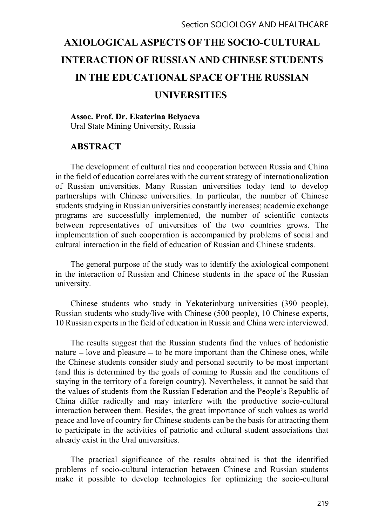# AXIOLOGICAL ASPECTS OF THE SOCIO-CULTURAL INTERACTION OF RUSSIAN AND CHINESE STUDENTS IN THE EDUCATIONAL SPACE OF THE RUSSIAN UNIVERSITIES

## Assoc. Prof. Dr. Ekaterina Belyaeva Ural State Mining University, Russia

# ABSTRACT

The development of cultural ties and cooperation between Russia and China in the field of education correlates with the current strategy of internationalization of Russian universities. Many Russian universities today tend to develop partnerships with Chinese universities. In particular, the number of Chinese students studying in Russian universities constantly increases; academic exchange programs are successfully implemented, the number of scientific contacts between representatives of universities of the two countries grows. The implementation of such cooperation is accompanied by problems of social and cultural interaction in the field of education of Russian and Chinese students.

The general purpose of the study was to identify the axiological component in the interaction of Russian and Chinese students in the space of the Russian university.

Chinese students who study in Yekaterinburg universities (390 people), Russian students who study/live with Chinese (500 people), 10 Chinese experts, 10 Russian experts in the field of education in Russia and China were interviewed.

The results suggest that the Russian students find the values of hedonistic nature  $-$  love and pleasure  $-$  to be more important than the Chinese ones, while the Chinese students consider study and personal security to be most important (and this is determined by the goals of coming to Russia and the conditions of staying in the territory of a foreign country). Nevertheless, it cannot be said that the values of students from the Russian Federation and the People's Republic of China differ radically and may interfere with the productive socio-cultural interaction between them. Besides, the great importance of such values as world peace and love of country for Chinese students can be the basis for attracting them to participate in the activities of patriotic and cultural student associations that already exist in the Ural universities.

The practical significance of the results obtained is that the identified problems of socio-cultural interaction between Chinese and Russian students make it possible to develop technologies for optimizing the socio-cultural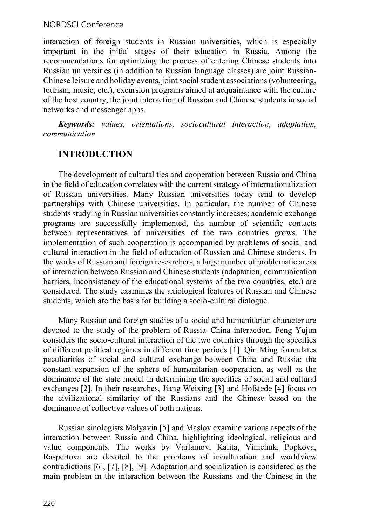## NORDSCI Conference

interaction of foreign students in Russian universities, which is especially important in the initial stages of their education in Russia. Among the recommendations for optimizing the process of entering Chinese students into Russian universities (in addition to Russian language classes) are joint Russian-Chinese leisure and holiday events, joint social student associations (volunteering, tourism, music, etc.), excursion programs aimed at acquaintance with the culture of the host country, the joint interaction of Russian and Chinese students in social networks and messenger apps.

Keywords: values, orientations, sociocultural interaction, adaptation, communication

# INTRODUCTION

The development of cultural ties and cooperation between Russia and China in the field of education correlates with the current strategy of internationalization of Russian universities. Many Russian universities today tend to develop partnerships with Chinese universities. In particular, the number of Chinese students studying in Russian universities constantly increases; academic exchange programs are successfully implemented, the number of scientific contacts between representatives of universities of the two countries grows. The implementation of such cooperation is accompanied by problems of social and cultural interaction in the field of education of Russian and Chinese students. In the works of Russian and foreign researchers, a large number of problematic areas of interaction between Russian and Chinese students (adaptation, communication barriers, inconsistency of the educational systems of the two countries, etc.) are considered. The study examines the axiological features of Russian and Chinese students, which are the basis for building a socio-cultural dialogue.

Many Russian and foreign studies of a social and humanitarian character are devoted to the study of the problem of Russia–China interaction. Feng Yujun considers the socio-cultural interaction of the two countries through the specifics of different political regimes in different time periods [1]. Qin Ming formulates peculiarities of social and cultural exchange between China and Russia: the constant expansion of the sphere of humanitarian cooperation, as well as the dominance of the state model in determining the specifics of social and cultural exchanges [2]. In their researches, Jiang Weixing [3] and Hofstede [4] focus on the civilizational similarity of the Russians and the Chinese based on the dominance of collective values of both nations.

Russian sinologists Malyavin [5] and Maslov examine various aspects of the interaction between Russia and China, highlighting ideological, religious and value components. The works by Varlamov, Kalita, Vinichuk, Popkova, Raspertova are devoted to the problems of inculturation and worldview contradictions [6], [7], [8], [9]. Adaptation and socialization is considered as the main problem in the interaction between the Russians and the Chinese in the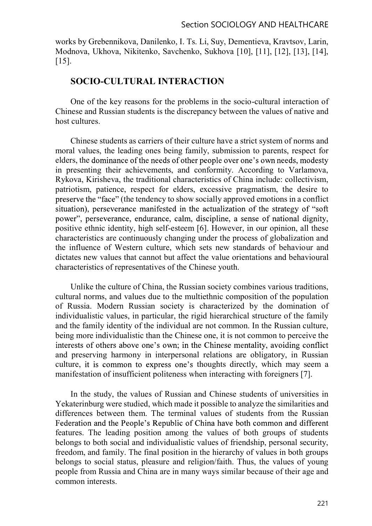works by Grebennikova, Danilenko, I. Ts. Li, Suy, Dementieva, Kravtsov, Larin, Modnova, Ukhova, Nikitenko, Savchenko, Sukhova [10], [11], [12], [13], [14], [15].

## SOCIO-CULTURAL INTERACTION

One of the key reasons for the problems in the socio-cultural interaction of Chinese and Russian students is the discrepancy between the values of native and host cultures.

Chinese students as carriers of their culture have a strict system of norms and moral values, the leading ones being family, submission to parents, respect for elders, the dominance of the needs of other people over one's own needs, modesty in presenting their achievements, and conformity. According to Varlamova, Rykova, Kirisheva, the traditional characteristics of China include: collectivism, patriotism, patience, respect for elders, excessive pragmatism, the desire to preserve the "face" (the tendency to show socially approved emotions in a conflict situation), perseverance manifested in the actualization of the strategy of "soft" power", perseverance, endurance, calm, discipline, a sense of national dignity, positive ethnic identity, high self-esteem [6]. However, in our opinion, all these characteristics are continuously changing under the process of globalization and the influence of Western culture, which sets new standards of behaviour and dictates new values that cannot but affect the value orientations and behavioural characteristics of representatives of the Chinese youth.

Unlike the culture of China, the Russian society combines various traditions, cultural norms, and values due to the multiethnic composition of the population of Russia. Modern Russian society is characterized by the domination of individualistic values, in particular, the rigid hierarchical structure of the family and the family identity of the individual are not common. In the Russian culture, being more individualistic than the Chinese one, it is not common to perceive the interests of others above one's own; in the Chinese mentality, avoiding conflict and preserving harmony in interpersonal relations are obligatory, in Russian culture, it is common to express one's thoughts directly, which may seem a manifestation of insufficient politeness when interacting with foreigners [7].

In the study, the values of Russian and Chinese students of universities in Yekaterinburg were studied, which made it possible to analyze the similarities and differences between them. The terminal values of students from the Russian Federation and the People's Republic of China have both common and different features. The leading position among the values of both groups of students belongs to both social and individualistic values of friendship, personal security, freedom, and family. The final position in the hierarchy of values in both groups belongs to social status, pleasure and religion/faith. Thus, the values of young people from Russia and China are in many ways similar because of their age and common interests.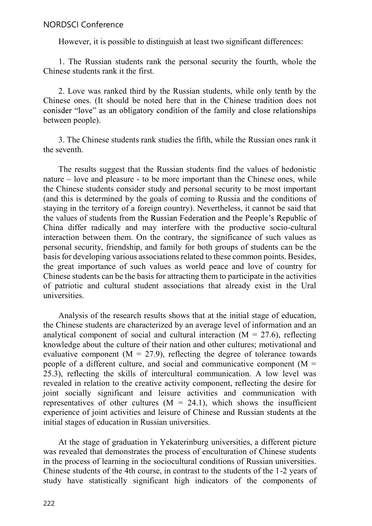However, it is possible to distinguish at least two significant differences:

1. The Russian students rank the personal security the fourth, whole the Chinese students rank it the first.

2. Love was ranked third by the Russian students, while only tenth by the Chinese ones. (It should be noted here that in the Chinese tradition does not conisder "love" as an obligatory condition of the family and close relationships between people).

3. The Chinese students rank studies the fifth, while the Russian ones rank it the seventh.

The results suggest that the Russian students find the values of hedonistic nature  $-$  love and pleasure  $-$  to be more important than the Chinese ones, while the Chinese students consider study and personal security to be most important (and this is determined by the goals of coming to Russia and the conditions of staying in the territory of a foreign country). Nevertheless, it cannot be said that the values of students from the Russian Federation and the People's Republic of China differ radically and may interfere with the productive socio-cultural interaction between them. On the contrary, the significance of such values as personal security, friendship, and family for both groups of students can be the basis for developing various associations related to these common points. Besides, the great importance of such values as world peace and love of country for Chinese students can be the basis for attracting them to participate in the activities of patriotic and cultural student associations that already exist in the Ural universities.

Analysis of the research results shows that at the initial stage of education, the Chinese students are characterized by an average level of information and an analytical component of social and cultural interaction  $(M = 27.6)$ , reflecting knowledge about the culture of their nation and other cultures; motivational and evaluative component ( $M = 27.9$ ), reflecting the degree of tolerance towards people of a different culture, and social and communicative component ( $M =$ 25.3), reflecting the skills of intercultural communication. A low level was revealed in relation to the creative activity component, reflecting the desire for joint socially significant and leisure activities and communication with representatives of other cultures  $(M = 24.1)$ , which shows the insufficient experience of joint activities and leisure of Chinese and Russian students at the initial stages of education in Russian universities.

At the stage of graduation in Yekaterinburg universities, a different picture was revealed that demonstrates the process of enculturation of Chinese students in the process of learning in the sociocultural conditions of Russian universities. Chinese students of the 4th course, in contrast to the students of the 1-2 years of study have statistically significant high indicators of the components of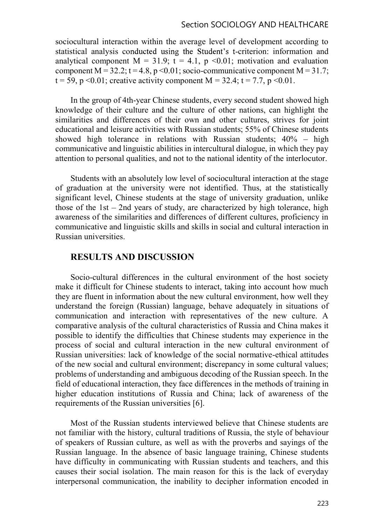#### Section SOCIOLOGY AND HEALTHCARE

sociocultural interaction within the average level of development according to statistical analysis conducted using the Student's t-criterion: information and analytical component  $M = 31.9$ ;  $t = 4.1$ ,  $p \le 0.01$ ; motivation and evaluation component M =  $32.2$ ; t =  $4.8$ , p < 0.01; socio-communicative component M =  $31.7$ ;  $t = 59$ , p < 0.01; creative activity component M = 32.4;  $t = 7.7$ , p < 0.01.

In the group of 4th-year Chinese students, every second student showed high knowledge of their culture and the culture of other nations, can highlight the similarities and differences of their own and other cultures, strives for joint educational and leisure activities with Russian students; 55% of Chinese students showed high tolerance in relations with Russian students;  $40\%$  – high communicative and linguistic abilities in intercultural dialogue, in which they pay attention to personal qualities, and not to the national identity of the interlocutor.

Students with an absolutely low level of sociocultural interaction at the stage of graduation at the university were not identified. Thus, at the statistically significant level, Chinese students at the stage of university graduation, unlike those of the  $1st - 2nd$  years of study, are characterized by high tolerance, high awareness of the similarities and differences of different cultures, proficiency in communicative and linguistic skills and skills in social and cultural interaction in Russian universities.

## RESULTS AND DISCUSSION

Socio-cultural differences in the cultural environment of the host society make it difficult for Chinese students to interact, taking into account how much they are fluent in information about the new cultural environment, how well they understand the foreign (Russian) language, behave adequately in situations of communication and interaction with representatives of the new culture. A comparative analysis of the cultural characteristics of Russia and China makes it possible to identify the difficulties that Chinese students may experience in the process of social and cultural interaction in the new cultural environment of Russian universities: lack of knowledge of the social normative-ethical attitudes of the new social and cultural environment; discrepancy in some cultural values; problems of understanding and ambiguous decoding of the Russian speech. In the field of educational interaction, they face differences in the methods of training in higher education institutions of Russia and China; lack of awareness of the requirements of the Russian universities [6].

Most of the Russian students interviewed believe that Chinese students are not familiar with the history, cultural traditions of Russia, the style of behaviour of speakers of Russian culture, as well as with the proverbs and sayings of the Russian language. In the absence of basic language training, Chinese students have difficulty in communicating with Russian students and teachers, and this causes their social isolation. The main reason for this is the lack of everyday interpersonal communication, the inability to decipher information encoded in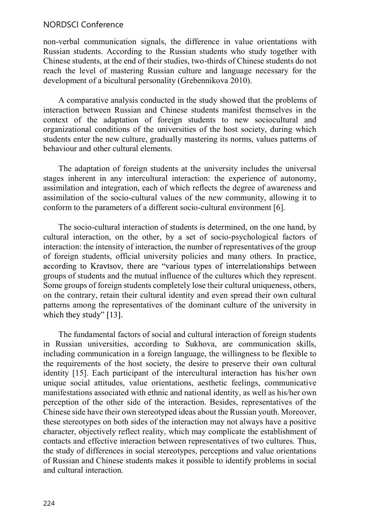## NORDSCI Conference

non-verbal communication signals, the difference in value orientations with Russian students. According to the Russian students who study together with Chinese students, at the end of their studies, two-thirds of Chinese students do not reach the level of mastering Russian culture and language necessary for the development of a bicultural personality (Grebennikova 2010).

A comparative analysis conducted in the study showed that the problems of interaction between Russian and Chinese students manifest themselves in the context of the adaptation of foreign students to new sociocultural and organizational conditions of the universities of the host society, during which students enter the new culture, gradually mastering its norms, values patterns of behaviour and other cultural elements.

The adaptation of foreign students at the university includes the universal stages inherent in any intercultural interaction: the experience of autonomy, assimilation and integration, each of which reflects the degree of awareness and assimilation of the socio-cultural values of the new community, allowing it to conform to the parameters of a different socio-cultural environment [6].

The socio-cultural interaction of students is determined, on the one hand, by cultural interaction, on the other, by a set of socio-psychological factors of interaction: the intensity of interaction, the number of representatives of the group of foreign students, official university policies and many others. In practice, according to Kravtsov, there are "various types of interrelationships between groups of students and the mutual influence of the cultures which they represent. Some groups of foreign students completely lose their cultural uniqueness, others, on the contrary, retain their cultural identity and even spread their own cultural patterns among the representatives of the dominant culture of the university in which they study" [13].

The fundamental factors of social and cultural interaction of foreign students in Russian universities, according to Sukhova, are communication skills, including communication in a foreign language, the willingness to be flexible to the requirements of the host society, the desire to preserve their own cultural identity [15]. Each participant of the intercultural interaction has his/her own unique social attitudes, value orientations, aesthetic feelings, communicative manifestations associated with ethnic and national identity, as well as his/her own perception of the other side of the interaction. Besides, representatives of the Chinese side have their own stereotyped ideas about the Russian youth. Moreover, these stereotypes on both sides of the interaction may not always have a positive character, objectively reflect reality, which may complicate the establishment of contacts and effective interaction between representatives of two cultures. Thus, the study of differences in social stereotypes, perceptions and value orientations of Russian and Chinese students makes it possible to identify problems in social and cultural interaction.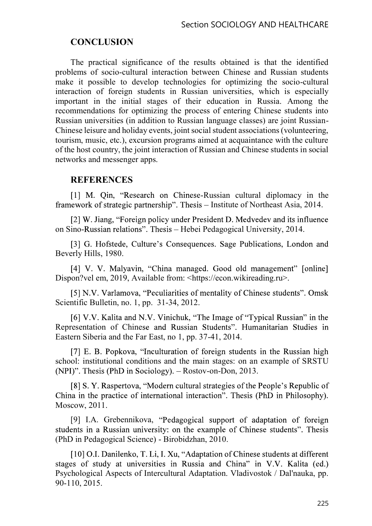# **CONCLUSION**

The practical significance of the results obtained is that the identified problems of socio-cultural interaction between Chinese and Russian students make it possible to develop technologies for optimizing the socio-cultural interaction of foreign students in Russian universities, which is especially important in the initial stages of their education in Russia. Among the recommendations for optimizing the process of entering Chinese students into Russian universities (in addition to Russian language classes) are joint Russian-Chinese leisure and holiday events, joint social student associations (volunteering, tourism, music, etc.), excursion programs aimed at acquaintance with the culture of the host country, the joint interaction of Russian and Chinese students in social networks and messenger apps.

### **REFERENCES**

[1] M. Oin, "Research on Chinese-Russian cultural diplomacy in the framework of strategic partnership". Thesis – Institute of Northeast Asia, 2014.

[2] W. Jiang, "Foreign policy under President D. Medvedev and its influence on Sino-Russian relations". Thesis – Hebei Pedagogical University, 2014.

[3] G. Hofstede, Culture's Consequences. Sage Publications, London and Beverly Hills, 1980.

[4] V. V. Malyavin, "China managed. Good old management" [online] Dispon?vel em, 2019, Available from: <https://econ.wikireading.ru>.

[5] N.V. Varlamova, "Peculiarities of mentality of Chinese students". Omsk Scientific Bulletin, no. 1, pp. 31-34, 2012.

[6] V.V. Kalita and N.V. Vinichuk, "The Image of "Typical Russian" in the Representation of Chinese and Russian Students". Humanitarian Studies in Eastern Siberia and the Far East, no 1, pp. 37-41, 2014.

[7] E. B. Popkova, "Inculturation of foreign students in the Russian high school: institutional conditions and the main stages: on an example of SRSTU (NPI)". Thesis (PhD in Sociology). - Rostov-on-Don, 2013.

[8] S. Y. Raspertova, "Modern cultural strategies of the People's Republic of China in the practice of international interaction". Thesis (PhD in Philosophy). Moscow, 2011.

[9] I.A. Grebennikova, "Pedagogical support of adaptation of foreign students in a Russian university: on the example of Chinese students". Thesis (PhD in Pedagogical Science) - Birobidzhan, 2010.

[10] O.I. Danilenko, T. Li, I. Xu, "Adaptation of Chinese students at different stages of study at universities in Russia and China" in V.V. Kalita (ed.) Psychological Aspects of Intercultural Adaptation. Vladivostok / Dal'nauka, pp. 90-110, 2015.